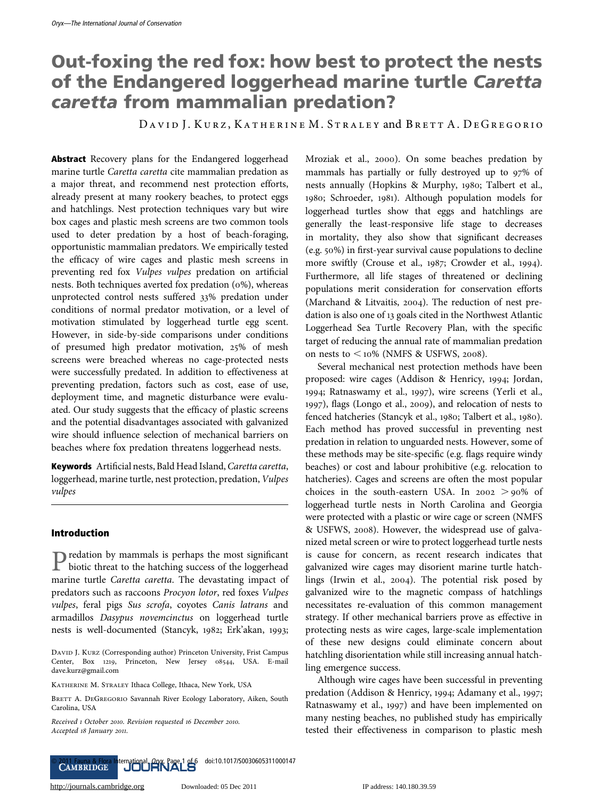# Out-foxing the red fox: how best to protect the nests of the Endangered loggerhead marine turtle Caretta caretta from mammalian predation?

DAVID J. KURZ, KATHERINE M. STRALEY and BRETT A. DEGREGORIO

Abstract Recovery plans for the Endangered loggerhead marine turtle Caretta caretta cite mammalian predation as a major threat, and recommend nest protection efforts, already present at many rookery beaches, to protect eggs and hatchlings. Nest protection techniques vary but wire box cages and plastic mesh screens are two common tools used to deter predation by a host of beach-foraging, opportunistic mammalian predators. We empirically tested the efficacy of wire cages and plastic mesh screens in preventing red fox Vulpes vulpes predation on artificial nests. Both techniques averted fox predation (0%), whereas unprotected control nests suffered 33% predation under conditions of normal predator motivation, or a level of motivation stimulated by loggerhead turtle egg scent. However, in side-by-side comparisons under conditions of presumed high predator motivation, 25% of mesh screens were breached whereas no cage-protected nests were successfully predated. In addition to effectiveness at preventing predation, factors such as cost, ease of use, deployment time, and magnetic disturbance were evaluated. Our study suggests that the efficacy of plastic screens and the potential disadvantages associated with galvanized wire should influence selection of mechanical barriers on beaches where fox predation threatens loggerhead nests.

Keywords Artificial nests, Bald Head Island, Caretta caretta, loggerhead, marine turtle, nest protection, predation, Vulpes vulpes

# Introduction

Predation by mammals is perhaps the most significant biotic threat to the hatching success of the loggerhead marine turtle Caretta caretta. The devastating impact of predators such as raccoons Procyon lotor, red foxes Vulpes vulpes, feral pigs Sus scrofa, coyotes Canis latrans and armadillos Dasypus novemcinctus on loggerhead turtle nests is well-documented (Stancyk, 1982; Erk'akan, 1993;

DAVID J. KURZ (Corresponding author) Princeton University, Frist Campus Center, Box 1219, Princeton, New Jersey 08544, USA. E-mail dave.kurz@gmail.com

KATHERINE M. STRALEY Ithaca College, Ithaca, New York, USA

BRETT A. DEGREGORIO Savannah River Ecology Laboratory, Aiken, South Carolina, USA

ª 2011 Fauna & Flora International, Oryx, Page 1 of 6 doi:10.1017/S0030605311000147

Received 1 October 2010. Revision requested 16 December 2010. Accepted 18 January 2011.

Mroziak et al., 2000). On some beaches predation by mammals has partially or fully destroyed up to 97% of nests annually (Hopkins & Murphy, 1980; Talbert et al., 1980; Schroeder, 1981). Although population models for loggerhead turtles show that eggs and hatchlings are generally the least-responsive life stage to decreases in mortality, they also show that significant decreases (e.g. 50%) in first-year survival cause populations to decline more swiftly (Crouse et al., 1987; Crowder et al., 1994). Furthermore, all life stages of threatened or declining populations merit consideration for conservation efforts (Marchand & Litvaitis, 2004). The reduction of nest predation is also one of 13 goals cited in the Northwest Atlantic Loggerhead Sea Turtle Recovery Plan, with the specific target of reducing the annual rate of mammalian predation on nests to  $\leq 10\%$  (NMFS & USFWS, 2008).

Several mechanical nest protection methods have been proposed: wire cages (Addison & Henricy, 1994; Jordan, 1994; Ratnaswamy et al., 1997), wire screens (Yerli et al., 1997), flags (Longo et al., 2009), and relocation of nests to fenced hatcheries (Stancyk et al., 1980; Talbert et al., 1980). Each method has proved successful in preventing nest predation in relation to unguarded nests. However, some of these methods may be site-specific (e.g. flags require windy beaches) or cost and labour prohibitive (e.g. relocation to hatcheries). Cages and screens are often the most popular choices in the south-eastern USA. In  $2002 > 90\%$  of loggerhead turtle nests in North Carolina and Georgia were protected with a plastic or wire cage or screen (NMFS & USFWS, 2008). However, the widespread use of galvanized metal screen or wire to protect loggerhead turtle nests is cause for concern, as recent research indicates that galvanized wire cages may disorient marine turtle hatchlings (Irwin et al., 2004). The potential risk posed by galvanized wire to the magnetic compass of hatchlings necessitates re-evaluation of this common management strategy. If other mechanical barriers prove as effective in protecting nests as wire cages, large-scale implementation of these new designs could eliminate concern about hatchling disorientation while still increasing annual hatchling emergence success.

Although wire cages have been successful in preventing predation (Addison & Henricy, 1994; Adamany et al., 1997; Ratnaswamy et al., 1997) and have been implemented on many nesting beaches, no published study has empirically tested their effectiveness in comparison to plastic mesh

<http://journals.cambridge.org> Downloaded: 05 Dec 2011 IP address: 140.180.39.59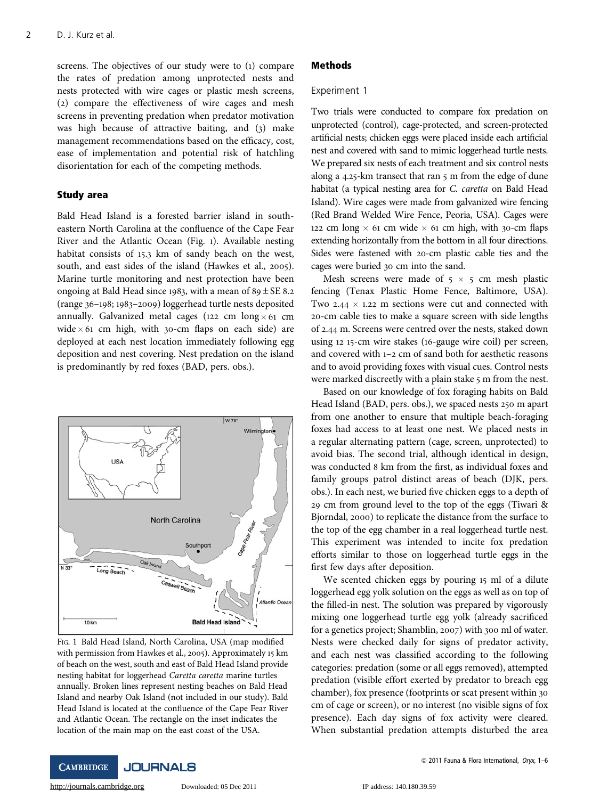screens. The objectives of our study were to (1) compare the rates of predation among unprotected nests and nests protected with wire cages or plastic mesh screens, (2) compare the effectiveness of wire cages and mesh screens in preventing predation when predator motivation was high because of attractive baiting, and (3) make management recommendations based on the efficacy, cost, ease of implementation and potential risk of hatchling disorientation for each of the competing methods.

# Study area

Bald Head Island is a forested barrier island in southeastern North Carolina at the confluence of the Cape Fear River and the Atlantic Ocean (Fig. 1). Available nesting habitat consists of 15.3 km of sandy beach on the west, south, and east sides of the island (Hawkes et al., 2005). Marine turtle monitoring and nest protection have been ongoing at Bald Head since 1983, with a mean of  $89 \pm SE$  8.2 (range 36–198; 1983–2009) loggerhead turtle nests deposited annually. Galvanized metal cages (122 cm  $\log x$  61 cm wide  $\times$  61 cm high, with 30-cm flaps on each side) are deployed at each nest location immediately following egg deposition and nest covering. Nest predation on the island is predominantly by red foxes (BAD, pers. obs.).



FIG. 1 Bald Head Island, North Carolina, USA (map modified with permission from Hawkes et al., 2005). Approximately 15 km of beach on the west, south and east of Bald Head Island provide nesting habitat for loggerhead Caretta caretta marine turtles annually. Broken lines represent nesting beaches on Bald Head Island and nearby Oak Island (not included in our study). Bald Head Island is located at the confluence of the Cape Fear River and Atlantic Ocean. The rectangle on the inset indicates the location of the main map on the east coast of the USA.

## Methods

#### Experiment 1

Two trials were conducted to compare fox predation on unprotected (control), cage-protected, and screen-protected artificial nests; chicken eggs were placed inside each artificial nest and covered with sand to mimic loggerhead turtle nests. We prepared six nests of each treatment and six control nests along a 4.25-km transect that ran 5 m from the edge of dune habitat (a typical nesting area for C. caretta on Bald Head Island). Wire cages were made from galvanized wire fencing (Red Brand Welded Wire Fence, Peoria, USA). Cages were 122 cm long  $\times$  61 cm wide  $\times$  61 cm high, with 30-cm flaps extending horizontally from the bottom in all four directions. Sides were fastened with 20-cm plastic cable ties and the cages were buried 30 cm into the sand.

Mesh screens were made of  $5 \times 5$  cm mesh plastic fencing (Tenax Plastic Home Fence, Baltimore, USA). Two 2.44  $\times$  1.22 m sections were cut and connected with 20-cm cable ties to make a square screen with side lengths of 2.44 m. Screens were centred over the nests, staked down using 12 15-cm wire stakes (16-gauge wire coil) per screen, and covered with 1–2 cm of sand both for aesthetic reasons and to avoid providing foxes with visual cues. Control nests were marked discreetly with a plain stake 5 m from the nest.

Based on our knowledge of fox foraging habits on Bald Head Island (BAD, pers. obs.), we spaced nests 250 m apart from one another to ensure that multiple beach-foraging foxes had access to at least one nest. We placed nests in a regular alternating pattern (cage, screen, unprotected) to avoid bias. The second trial, although identical in design, was conducted 8 km from the first, as individual foxes and family groups patrol distinct areas of beach (DJK, pers. obs.). In each nest, we buried five chicken eggs to a depth of 29 cm from ground level to the top of the eggs (Tiwari & Bjorndal, 2000) to replicate the distance from the surface to the top of the egg chamber in a real loggerhead turtle nest. This experiment was intended to incite fox predation efforts similar to those on loggerhead turtle eggs in the first few days after deposition.

We scented chicken eggs by pouring 15 ml of a dilute loggerhead egg yolk solution on the eggs as well as on top of the filled-in nest. The solution was prepared by vigorously mixing one loggerhead turtle egg yolk (already sacrificed for a genetics project; Shamblin, 2007) with 300 ml of water. Nests were checked daily for signs of predator activity, and each nest was classified according to the following categories: predation (some or all eggs removed), attempted predation (visible effort exerted by predator to breach egg chamber), fox presence (footprints or scat present within 30 cm of cage or screen), or no interest (no visible signs of fox presence). Each day signs of fox activity were cleared. When substantial predation attempts disturbed the area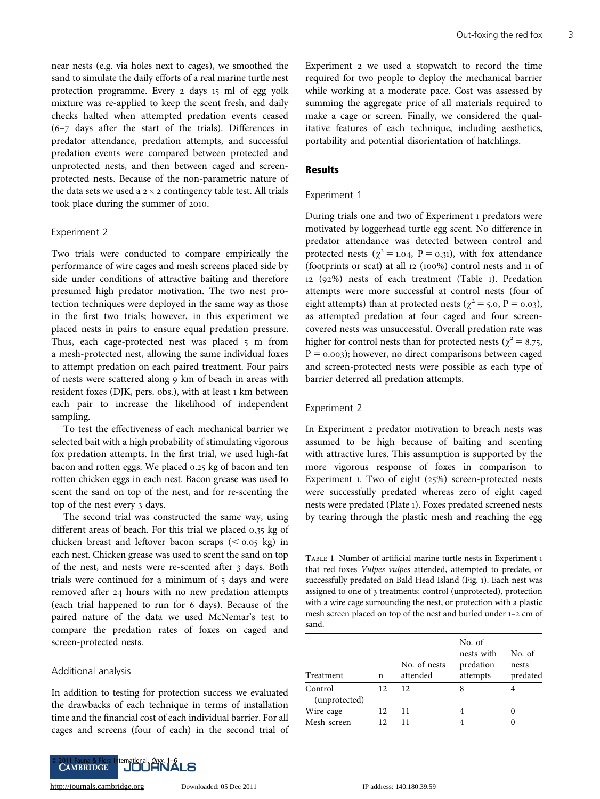near nests (e.g. via holes next to cages), we smoothed the sand to simulate the daily efforts of a real marine turtle nest protection programme. Every 2 days 15 ml of egg yolk mixture was re-applied to keep the scent fresh, and daily checks halted when attempted predation events ceased (6–7 days after the start of the trials). Differences in predator attendance, predation attempts, and successful predation events were compared between protected and unprotected nests, and then between caged and screenprotected nests. Because of the non-parametric nature of the data sets we used a  $2 \times 2$  contingency table test. All trials took place during the summer of 2010.

#### Experiment 2

Two trials were conducted to compare empirically the performance of wire cages and mesh screens placed side by side under conditions of attractive baiting and therefore presumed high predator motivation. The two nest protection techniques were deployed in the same way as those in the first two trials; however, in this experiment we placed nests in pairs to ensure equal predation pressure. Thus, each cage-protected nest was placed 5 m from a mesh-protected nest, allowing the same individual foxes to attempt predation on each paired treatment. Four pairs of nests were scattered along 9 km of beach in areas with resident foxes (DJK, pers. obs.), with at least 1 km between each pair to increase the likelihood of independent sampling.

To test the effectiveness of each mechanical barrier we selected bait with a high probability of stimulating vigorous fox predation attempts. In the first trial, we used high-fat bacon and rotten eggs. We placed 0.25 kg of bacon and ten rotten chicken eggs in each nest. Bacon grease was used to scent the sand on top of the nest, and for re-scenting the top of the nest every 3 days.

The second trial was constructed the same way, using different areas of beach. For this trial we placed 0.35 kg of chicken breast and leftover bacon scraps  $( $0.05 \text{ kg}$ )$  in each nest. Chicken grease was used to scent the sand on top of the nest, and nests were re-scented after 3 days. Both trials were continued for a minimum of 5 days and were removed after 24 hours with no new predation attempts (each trial happened to run for 6 days). Because of the paired nature of the data we used McNemar's test to compare the predation rates of foxes on caged and screen-protected nests.

#### Additional analysis

In addition to testing for protection success we evaluated the drawbacks of each technique in terms of installation time and the financial cost of each individual barrier. For all cages and screens (four of each) in the second trial of



Experiment 2 we used a stopwatch to record the time required for two people to deploy the mechanical barrier while working at a moderate pace. Cost was assessed by summing the aggregate price of all materials required to make a cage or screen. Finally, we considered the qualitative features of each technique, including aesthetics, portability and potential disorientation of hatchlings.

#### Results

#### Experiment 1

During trials one and two of Experiment 1 predators were motivated by loggerhead turtle egg scent. No difference in predator attendance was detected between control and protected nests ( $\chi^2$  = 1.04, P = 0.31), with fox attendance (footprints or scat) at all 12 (100%) control nests and 11 of 12 (92%) nests of each treatment (Table 1). Predation attempts were more successful at control nests (four of eight attempts) than at protected nests ( $\chi^2$  = 5.0, P = 0.03), as attempted predation at four caged and four screencovered nests was unsuccessful. Overall predation rate was higher for control nests than for protected nests ( $\chi^2 = 8.75$ ,  $P = 0.003$ ; however, no direct comparisons between caged and screen-protected nests were possible as each type of barrier deterred all predation attempts.

#### Experiment 2

In Experiment 2 predator motivation to breach nests was assumed to be high because of baiting and scenting with attractive lures. This assumption is supported by the more vigorous response of foxes in comparison to Experiment 1. Two of eight (25%) screen-protected nests were successfully predated whereas zero of eight caged nests were predated (Plate 1). Foxes predated screened nests by tearing through the plastic mesh and reaching the egg

TABLE 1 Number of artificial marine turtle nests in Experiment 1 that red foxes Vulpes vulpes attended, attempted to predate, or successfully predated on Bald Head Island (Fig. 1). Each nest was assigned to one of 3 treatments: control (unprotected), protection with a wire cage surrounding the nest, or protection with a plastic mesh screen placed on top of the nest and buried under 1–2 cm of sand.

| Treatment                | n        | No. of nests<br>attended | No. of<br>nests with<br>predation<br>attempts | No. of<br>nests<br>predated |
|--------------------------|----------|--------------------------|-----------------------------------------------|-----------------------------|
| Control<br>(unprotected) | 12       | 12                       | 8                                             |                             |
| Wire cage<br>Mesh screen | 12<br>12 | 11<br>11                 | 4                                             |                             |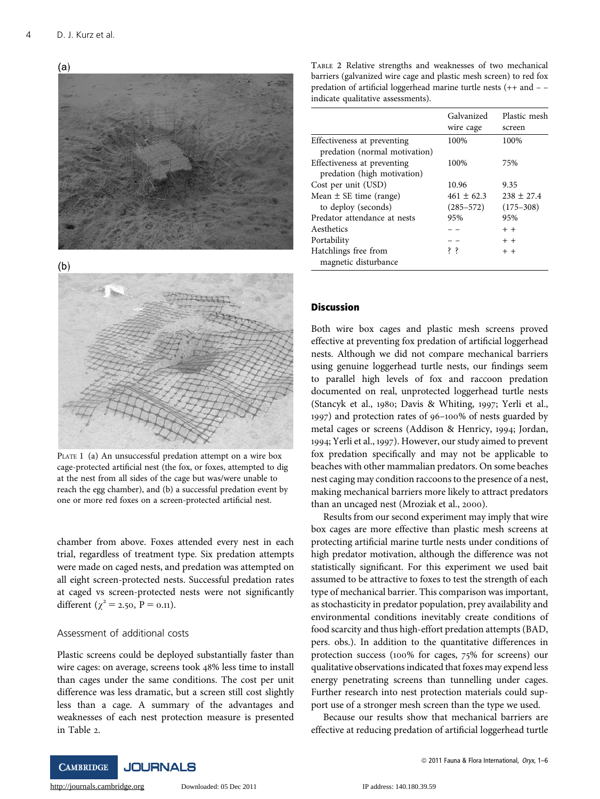



 $(b)$ 



PLATE 1 (a) An unsuccessful predation attempt on a wire box cage-protected artificial nest (the fox, or foxes, attempted to dig at the nest from all sides of the cage but was/were unable to reach the egg chamber), and (b) a successful predation event by one or more red foxes on a screen-protected artificial nest.

chamber from above. Foxes attended every nest in each trial, regardless of treatment type. Six predation attempts were made on caged nests, and predation was attempted on all eight screen-protected nests. Successful predation rates at caged vs screen-protected nests were not significantly different ( $\chi^2$  = 2.50, P = 0.11).

# Assessment of additional costs

Plastic screens could be deployed substantially faster than wire cages: on average, screens took 48% less time to install than cages under the same conditions. The cost per unit difference was less dramatic, but a screen still cost slightly less than a cage. A summary of the advantages and weaknesses of each nest protection measure is presented in Table 2.

TABLE 2 Relative strengths and weaknesses of two mechanical barriers (galvanized wire cage and plastic mesh screen) to red fox predation of artificial loggerhead marine turtle nests (++ and – – indicate qualitative assessments).

|                                                              | Galvanized<br>wire cage         | Plastic mesh<br>screen          |
|--------------------------------------------------------------|---------------------------------|---------------------------------|
| Effectiveness at preventing<br>predation (normal motivation) | 100%                            | 100%                            |
| Effectiveness at preventing<br>predation (high motivation)   | 100%                            | 75%                             |
| Cost per unit (USD)                                          | 10.96                           | 9.35                            |
| Mean $\pm$ SE time (range)<br>to deploy (seconds)            | $461 \pm 62.3$<br>$(285 - 572)$ | $238 \pm 27.4$<br>$(175 - 308)$ |
| Predator attendance at nests                                 | 95%                             | 95%                             |
| Aesthetics                                                   |                                 | $+ +$                           |
| Portability                                                  |                                 | $+ +$                           |
| Hatchlings free from<br>magnetic disturbance                 | śζ.                             | $+ +$                           |

## **Discussion**

Both wire box cages and plastic mesh screens proved effective at preventing fox predation of artificial loggerhead nests. Although we did not compare mechanical barriers using genuine loggerhead turtle nests, our findings seem to parallel high levels of fox and raccoon predation documented on real, unprotected loggerhead turtle nests (Stancyk et al., 1980; Davis & Whiting, 1997; Yerli et al., 1997) and protection rates of 96–100% of nests guarded by metal cages or screens (Addison & Henricy, 1994; Jordan, 1994; Yerli et al., 1997). However, our study aimed to prevent fox predation specifically and may not be applicable to beaches with other mammalian predators. On some beaches nest caging may condition raccoons to the presence of a nest, making mechanical barriers more likely to attract predators than an uncaged nest (Mroziak et al., 2000).

Results from our second experiment may imply that wire box cages are more effective than plastic mesh screens at protecting artificial marine turtle nests under conditions of high predator motivation, although the difference was not statistically significant. For this experiment we used bait assumed to be attractive to foxes to test the strength of each type of mechanical barrier. This comparison was important, as stochasticity in predator population, prey availability and environmental conditions inevitably create conditions of food scarcity and thus high-effort predation attempts (BAD, pers. obs.). In addition to the quantitative differences in protection success (100% for cages, 75% for screens) our qualitative observations indicated that foxes may expend less energy penetrating screens than tunnelling under cages. Further research into nest protection materials could support use of a stronger mesh screen than the type we used.

Because our results show that mechanical barriers are effective at reducing predation of artificial loggerhead turtle

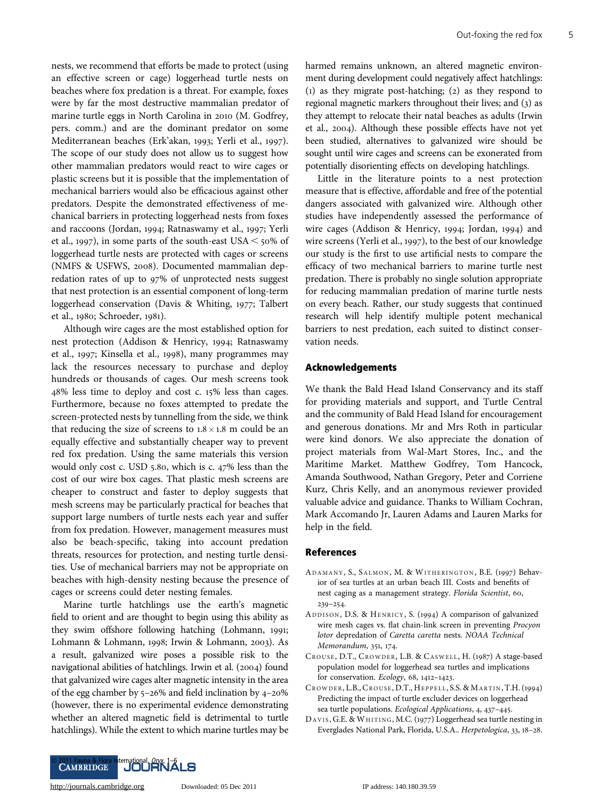nests, we recommend that efforts be made to protect (using an effective screen or cage) loggerhead turtle nests on beaches where fox predation is a threat. For example, foxes were by far the most destructive mammalian predator of marine turtle eggs in North Carolina in 2010 (M. Godfrey, pers. comm.) and are the dominant predator on some Mediterranean beaches (Erk'akan, 1993; Yerli et al., 1997). The scope of our study does not allow us to suggest how other mammalian predators would react to wire cages or plastic screens but it is possible that the implementation of mechanical barriers would also be efficacious against other predators. Despite the demonstrated effectiveness of mechanical barriers in protecting loggerhead nests from foxes and raccoons (Jordan, 1994; Ratnaswamy et al., 1997; Yerli et al., 1997), in some parts of the south-east USA  $\leq$  50% of loggerhead turtle nests are protected with cages or screens (NMFS & USFWS, 2008). Documented mammalian depredation rates of up to 97% of unprotected nests suggest that nest protection is an essential component of long-term loggerhead conservation (Davis & Whiting, 1977; Talbert et al., 1980; Schroeder, 1981).

Although wire cages are the most established option for nest protection (Addison & Henricy, 1994; Ratnaswamy et al., 1997; Kinsella et al., 1998), many programmes may lack the resources necessary to purchase and deploy hundreds or thousands of cages. Our mesh screens took 48% less time to deploy and cost c. 15% less than cages. Furthermore, because no foxes attempted to predate the screen-protected nests by tunnelling from the side, we think that reducing the size of screens to  $1.8 \times 1.8$  m could be an equally effective and substantially cheaper way to prevent red fox predation. Using the same materials this version would only cost c. USD 5.80, which is c. 47% less than the cost of our wire box cages. That plastic mesh screens are cheaper to construct and faster to deploy suggests that mesh screens may be particularly practical for beaches that support large numbers of turtle nests each year and suffer from fox predation. However, management measures must also be beach-specific, taking into account predation threats, resources for protection, and nesting turtle densities. Use of mechanical barriers may not be appropriate on beaches with high-density nesting because the presence of cages or screens could deter nesting females.

Marine turtle hatchlings use the earth's magnetic field to orient and are thought to begin using this ability as they swim offshore following hatching (Lohmann, 1991; Lohmann & Lohmann, 1998; Irwin & Lohmann, 2003). As a result, galvanized wire poses a possible risk to the navigational abilities of hatchlings. Irwin et al. (2004) found that galvanized wire cages alter magnetic intensity in the area of the egg chamber by 5–26% and field inclination by 4–20% (however, there is no experimental evidence demonstrating whether an altered magnetic field is detrimental to turtle hatchlings). While the extent to which marine turtles may be

harmed remains unknown, an altered magnetic environment during development could negatively affect hatchlings: (1) as they migrate post-hatching; (2) as they respond to regional magnetic markers throughout their lives; and (3) as they attempt to relocate their natal beaches as adults (Irwin et al., 2004). Although these possible effects have not yet been studied, alternatives to galvanized wire should be sought until wire cages and screens can be exonerated from potentially disorienting effects on developing hatchlings.

Little in the literature points to a nest protection measure that is effective, affordable and free of the potential dangers associated with galvanized wire. Although other studies have independently assessed the performance of wire cages (Addison & Henricy, 1994; Jordan, 1994) and wire screens (Yerli et al., 1997), to the best of our knowledge our study is the first to use artificial nests to compare the efficacy of two mechanical barriers to marine turtle nest predation. There is probably no single solution appropriate for reducing mammalian predation of marine turtle nests on every beach. Rather, our study suggests that continued research will help identify multiple potent mechanical barriers to nest predation, each suited to distinct conservation needs.

# Acknowledgements

We thank the Bald Head Island Conservancy and its staff for providing materials and support, and Turtle Central and the community of Bald Head Island for encouragement and generous donations. Mr and Mrs Roth in particular were kind donors. We also appreciate the donation of project materials from Wal-Mart Stores, Inc., and the Maritime Market. Matthew Godfrey, Tom Hancock, Amanda Southwood, Nathan Gregory, Peter and Corriene Kurz, Chris Kelly, and an anonymous reviewer provided valuable advice and guidance. Thanks to William Cochran, Mark Accomando Jr, Lauren Adams and Lauren Marks for help in the field.

#### References

- ADAMANY, S., SALMON, M. & WITHERINGTON, B.E. (1997) Behavior of sea turtles at an urban beach III. Costs and benefits of nest caging as a management strategy. Florida Scientist, 60, 239–254.
- A DDISON, D.S. & HENRICY, S. (1994) A comparison of galvanized wire mesh cages vs. flat chain-link screen in preventing Procyon lotor depredation of Caretta caretta nests. NOAA Technical Memorandum, 351, 174.
- CROUSE , D.T., CROWDER, L.B. & CASWELL , H. (1987) A stage-based population model for loggerhead sea turtles and implications for conservation. Ecology, 68, 1412–1423.
- CROWDER, L.B., CROUSE, D.T., HEPPELL, S.S. & MARTIN, T.H. (1994) Predicting the impact of turtle excluder devices on loggerhead sea turtle populations. Ecological Applications, 4, 437–445.
- DAVIS , G.E. & WHITING , M.C. (1977) Loggerhead sea turtle nesting in Everglades National Park, Florida, U.S.A.. Herpetologica, 33, 18–28.